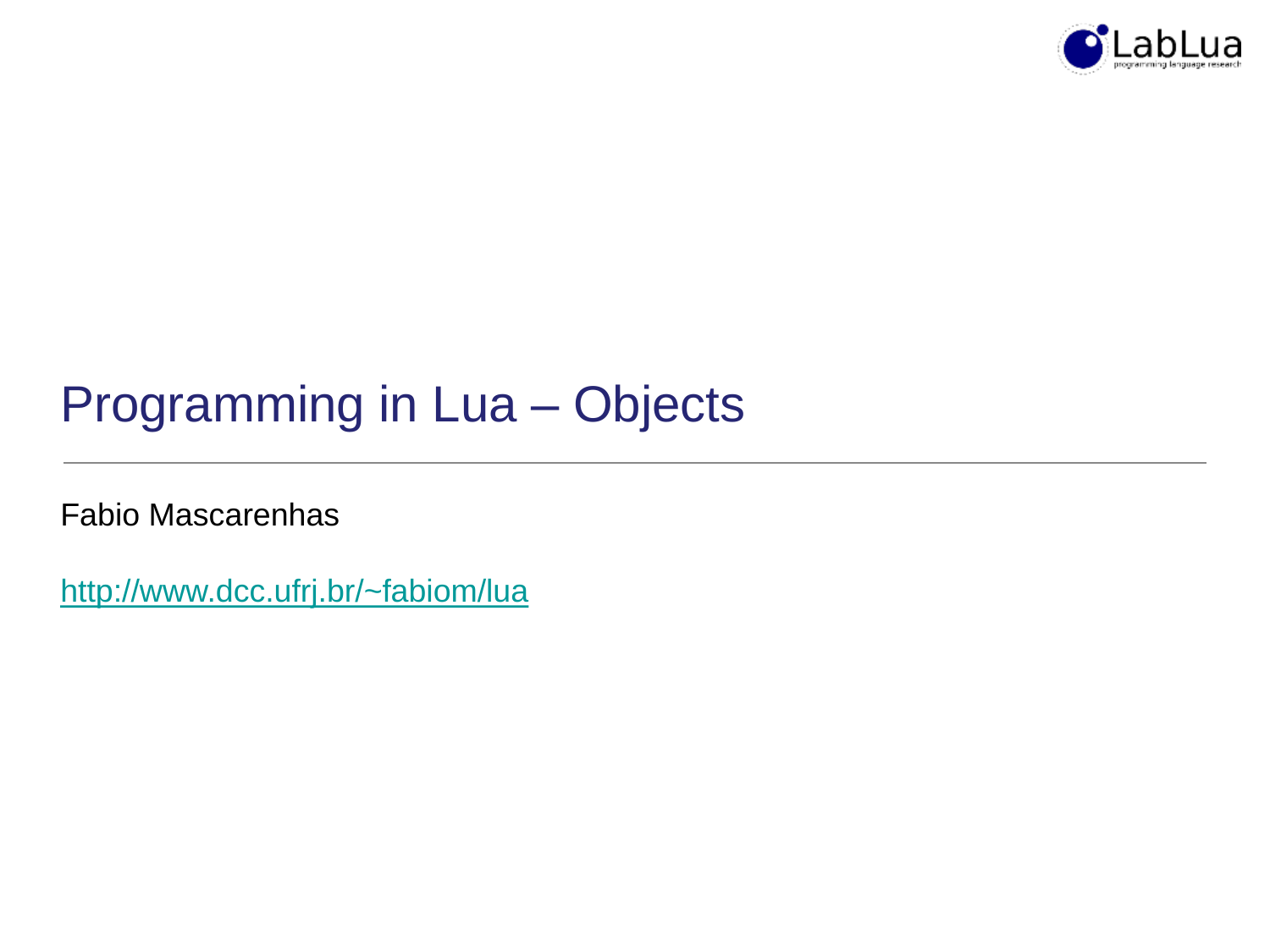

# Programming in Lua – Objects

Fabio Mascarenhas

<http://www.dcc.ufrj.br/~fabiom/lua>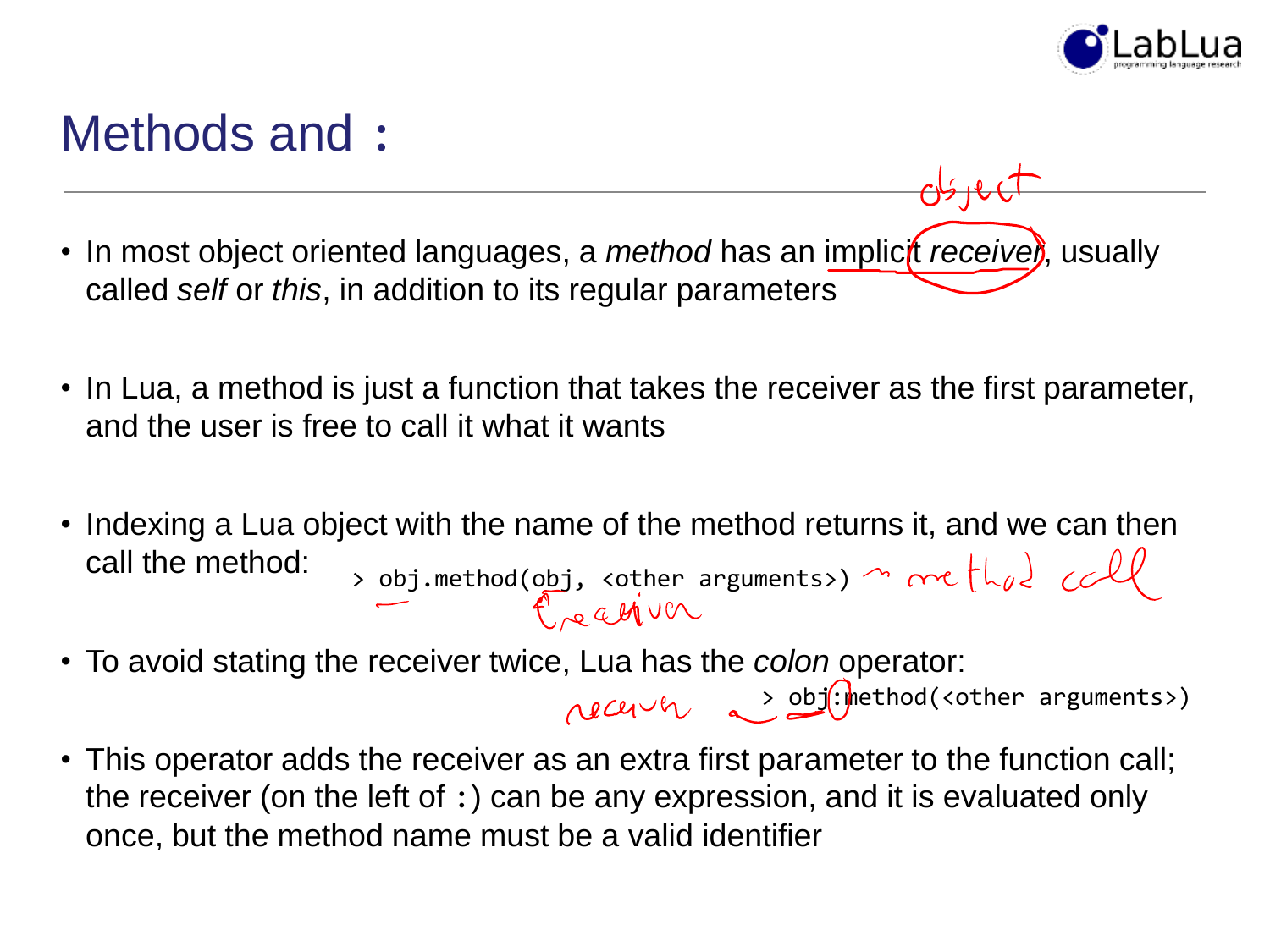

## Methods and :

- In most object oriented languages, a *method* has an implicit *receivel*, usually called *self* or *this*, in addition to its regular parameters
- In Lua, a method is just a function that takes the receiver as the first parameter, and the user is free to call it what it wants
- Indexing a Lua object with the name of the method returns it, and we can then call the method: > obj.method(obj, <other arguments>) n method call
- To avoid stating the receiver twice, Lua has the *colon* operator:

receiver a > obj(: method(<other arguments>)

• This operator adds the receiver as an extra first parameter to the function call; the receiver (on the left of :) can be any expression, and it is evaluated only once, but the method name must be a valid identifier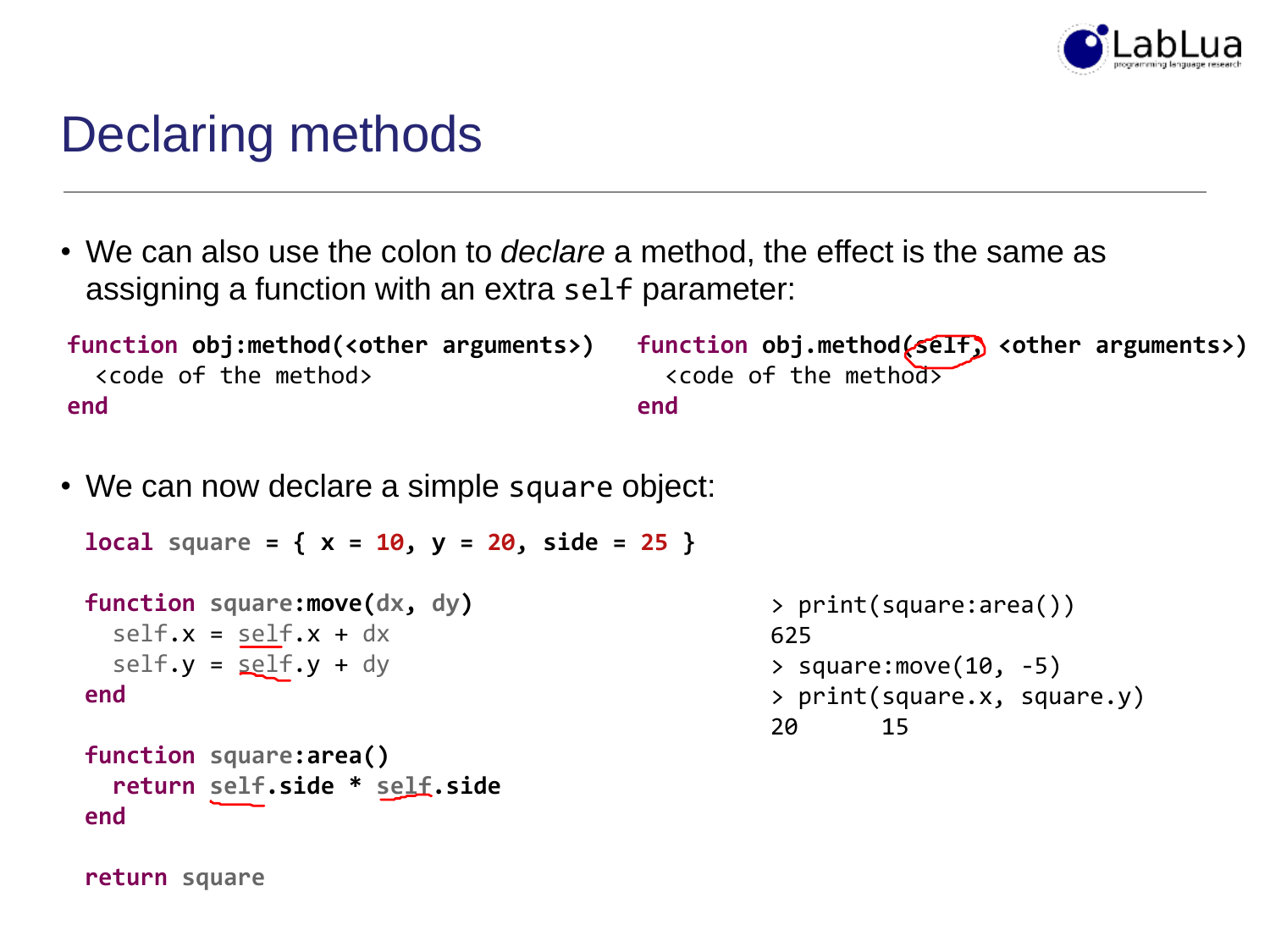

### Declaring methods

• We can also use the colon to *declare* a method, the effect is the same as assigning a function with an extra self parameter:

```
function obj:method(<other arguments>)
  <code of the method>
end
                                          function obj.method(self) <other arguments>)
                                            <code of the method>
                                          end
```
• We can now declare a simple square object:

```
local square = { x = 10, y = 20, side = 25 }
```

```
function square:move(dx, dy)
 self.x = self.x + dxself.y = self.y + dyend
```

```
function square:area()
  return self.side * self.side
end
```

```
> print(square:area())
625
> square: move(10, -5)
> print(square.x, square.y)
20 15
```
**return square**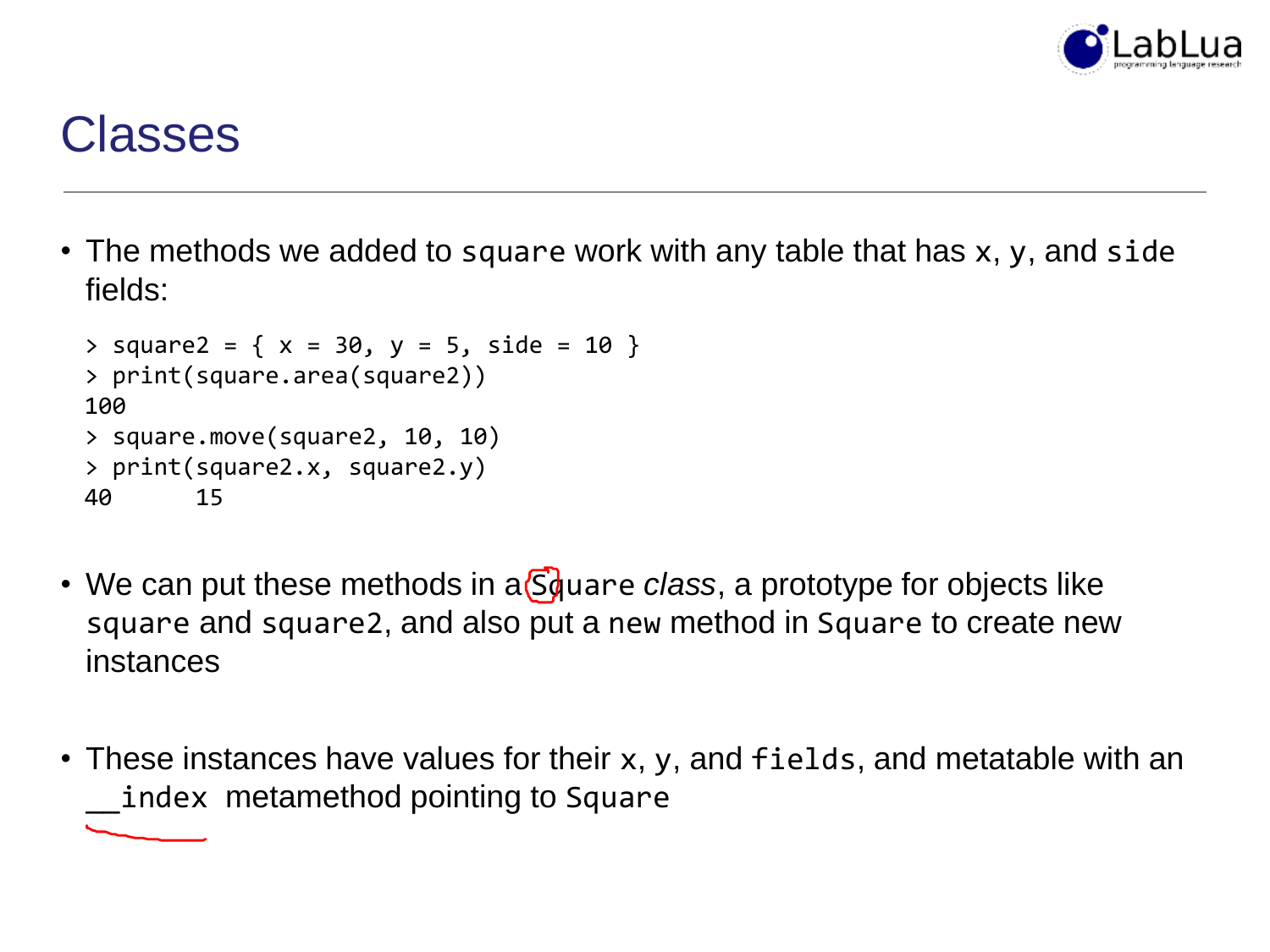

### Classes

• The methods we added to square work with any table that has x, y, and side fields:

```
> square2 = { x = 30, y = 5, side = 10 }
> print(square.area(square2))
100
> square.move(square2, 10, 10)
> print(square2.x, square2.y)
40 15
```
- We can put these methods in a S<sub>g</sub>uare *class*, a prototype for objects like square and square2, and also put a new method in Square to create new instances
- These instances have values for their x, y, and fields, and metatable with an index metamethod pointing to Square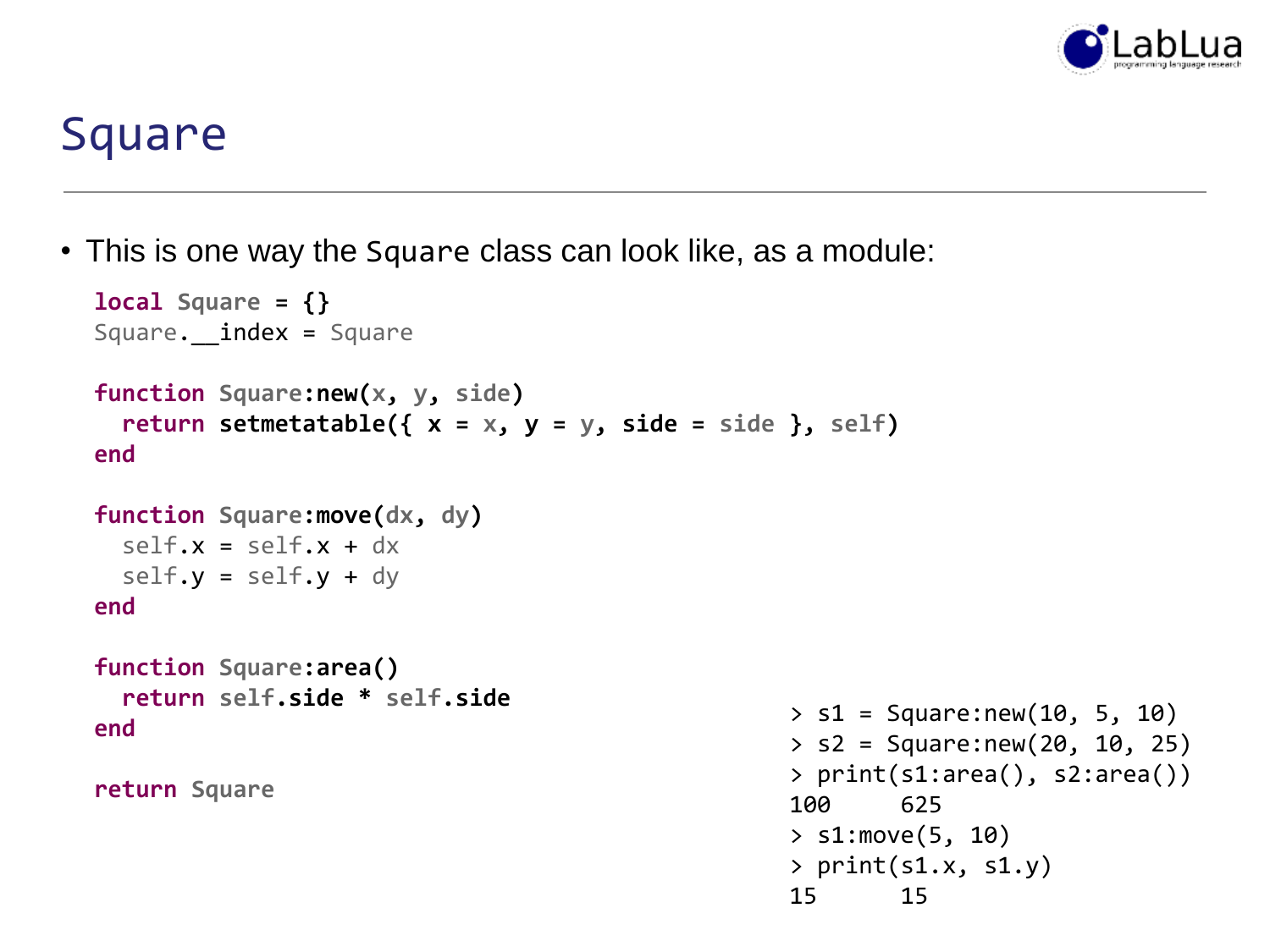

#### Square

• This is one way the Square class can look like, as a module:

```
local Square = {}
Square. index = Squarefunction Square:new(x, y, side)
 return setmetatable({ x = x, y = y, side = side }, self)
end
function Square:move(dx, dy)
  self.x = self.x + dxself.y = self.y + dy
end
function Square:area()
 return self.side * self.side
end
return Square
                                                 > s1 = Square:new(10, 5, 10)> s2 = Square:new(20, 10, 25)> print(s1:area(), s2:area())
                                                 100 625
                                                 > s1:move(5, 10)
                                                 > print(s1.x, s1.y)
                                                 15 15
```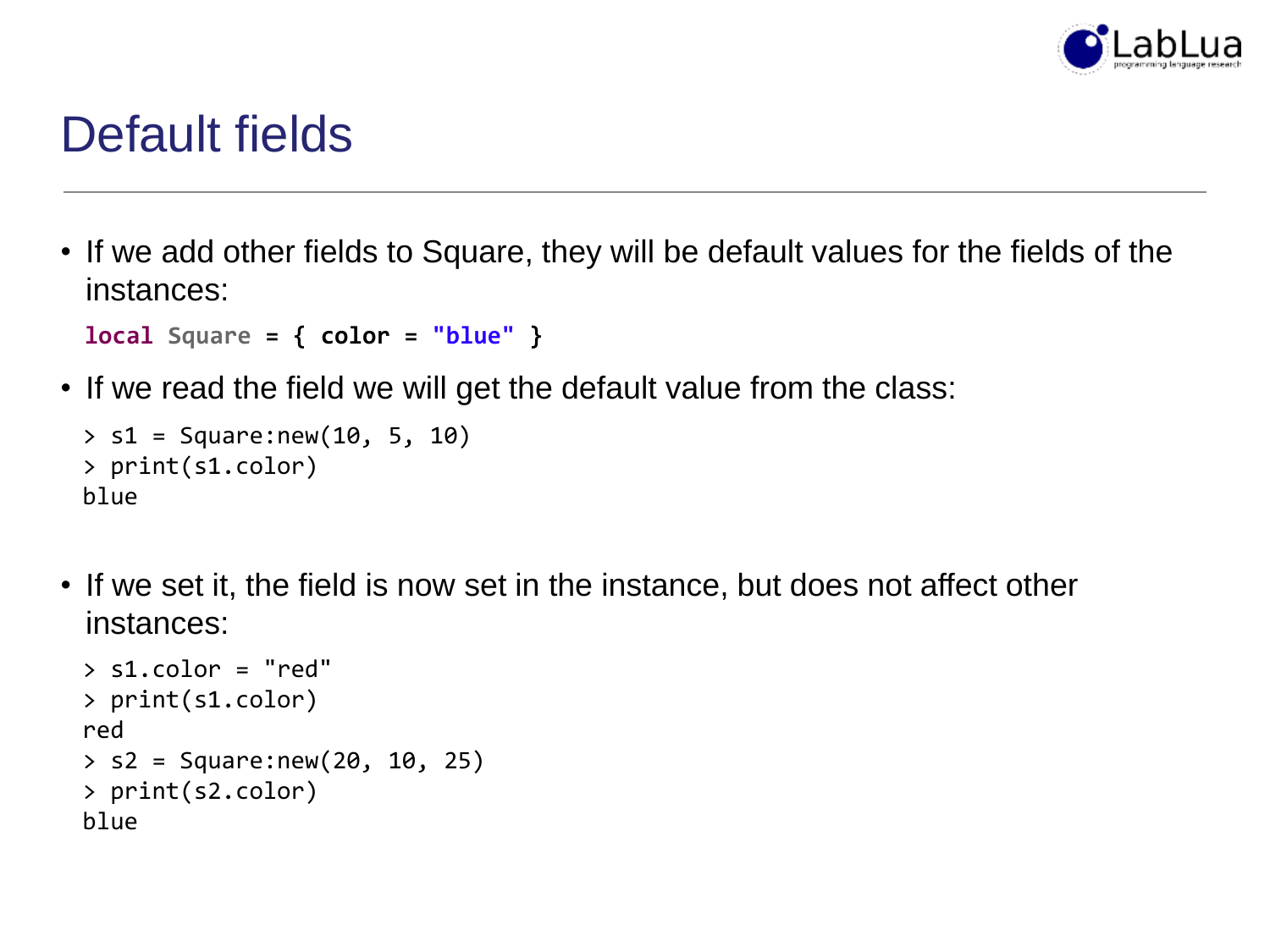

## Default fields

• If we add other fields to Square, they will be default values for the fields of the instances:

```
local Square = { color = "blue" }
```
• If we read the field we will get the default value from the class:

```
> s1 = Square:new(10, 5, 10)> print(s1.color)
blue
```
• If we set it, the field is now set in the instance, but does not affect other instances:

```
> s1.color = "red"
> print(s1.color)
red
> s2 = Square:new(20, 10, 25)> print(s2.color)
blue
```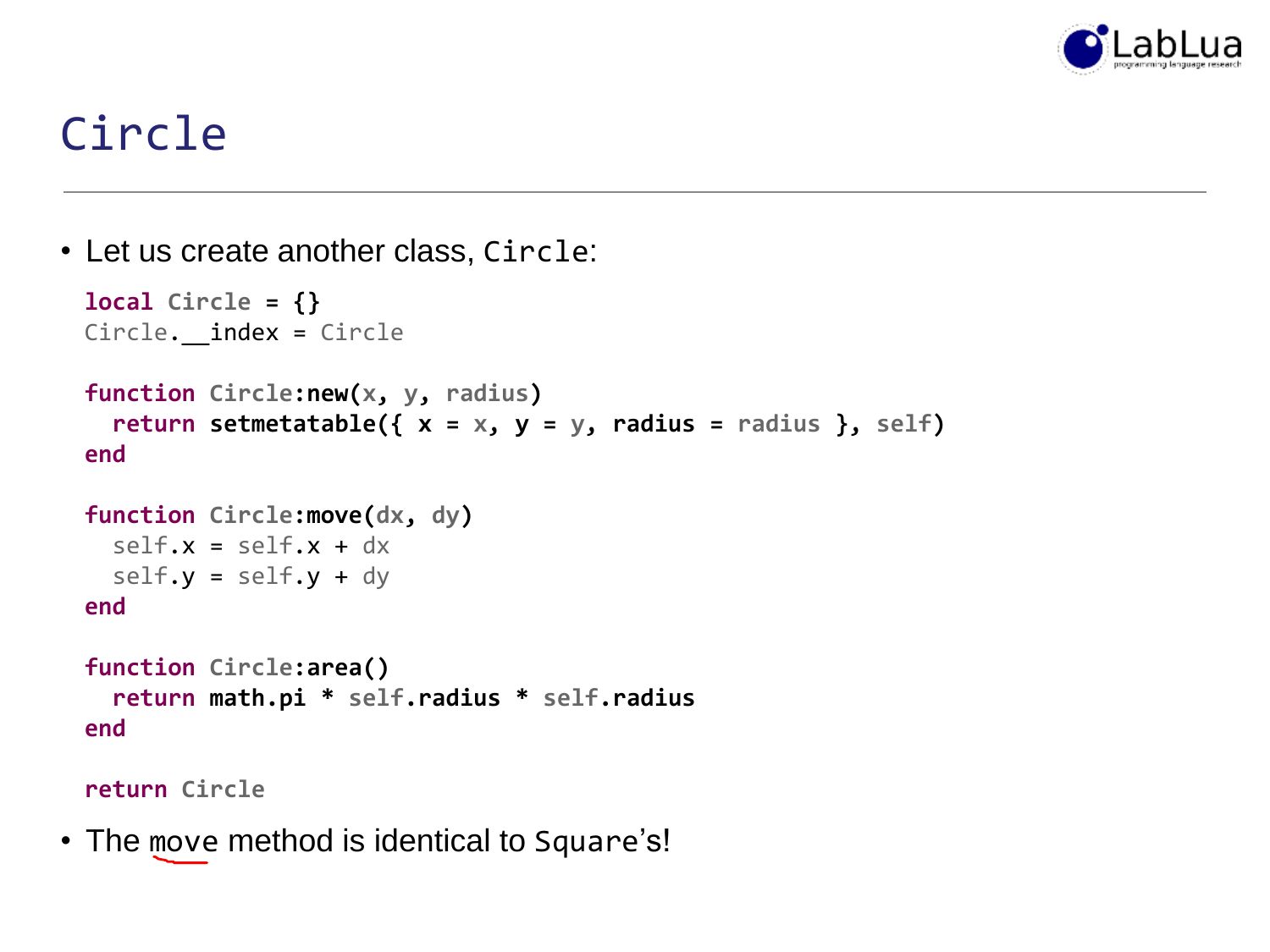

## Circle

• Let us create another class, Circle:

```
local Circle = {}
Circle. index = Circle
function Circle:new(x, y, radius)
  return setmetatable({ x = x, y = y, radius = radius }, self)
end
function Circle:move(dx, dy)
  self.x = self.x + dxself.y = self.y + dy
end
function Circle:area()
  return math.pi * self.radius * self.radius
end
```
**return Circle**

• The move method is identical to Square's!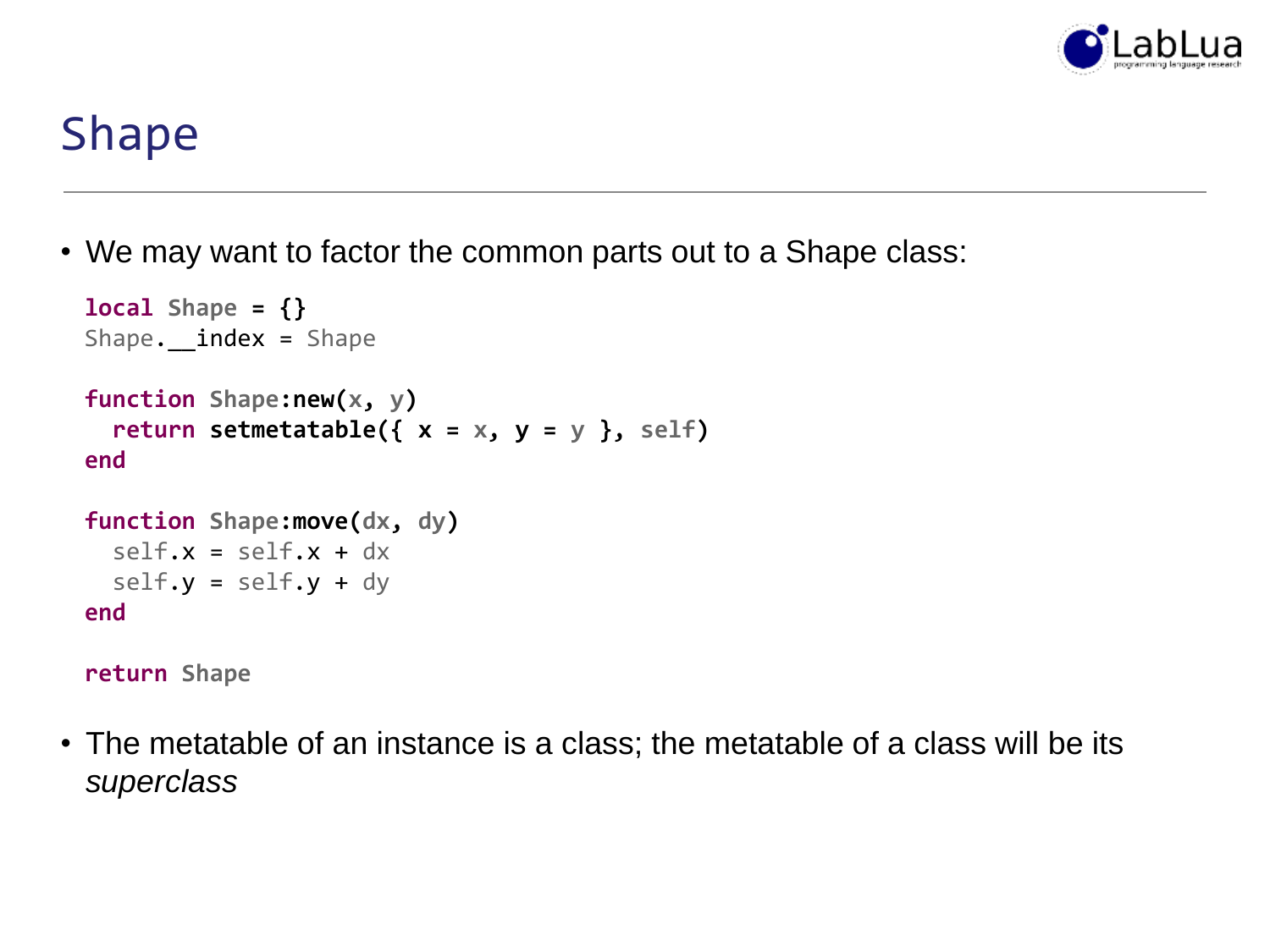

### Shape

• We may want to factor the common parts out to a Shape class:

```
local Shape = {}
Shape. index = Shapefunction Shape:new(x, y)
 return setmetatable(\{ x = x, y = y \}, self)
end
function Shape:move(dx, dy)
  self.x = self.x + dxself.y = self.y + dy
end
```
**return Shape**

• The metatable of an instance is a class; the metatable of a class will be its *superclass*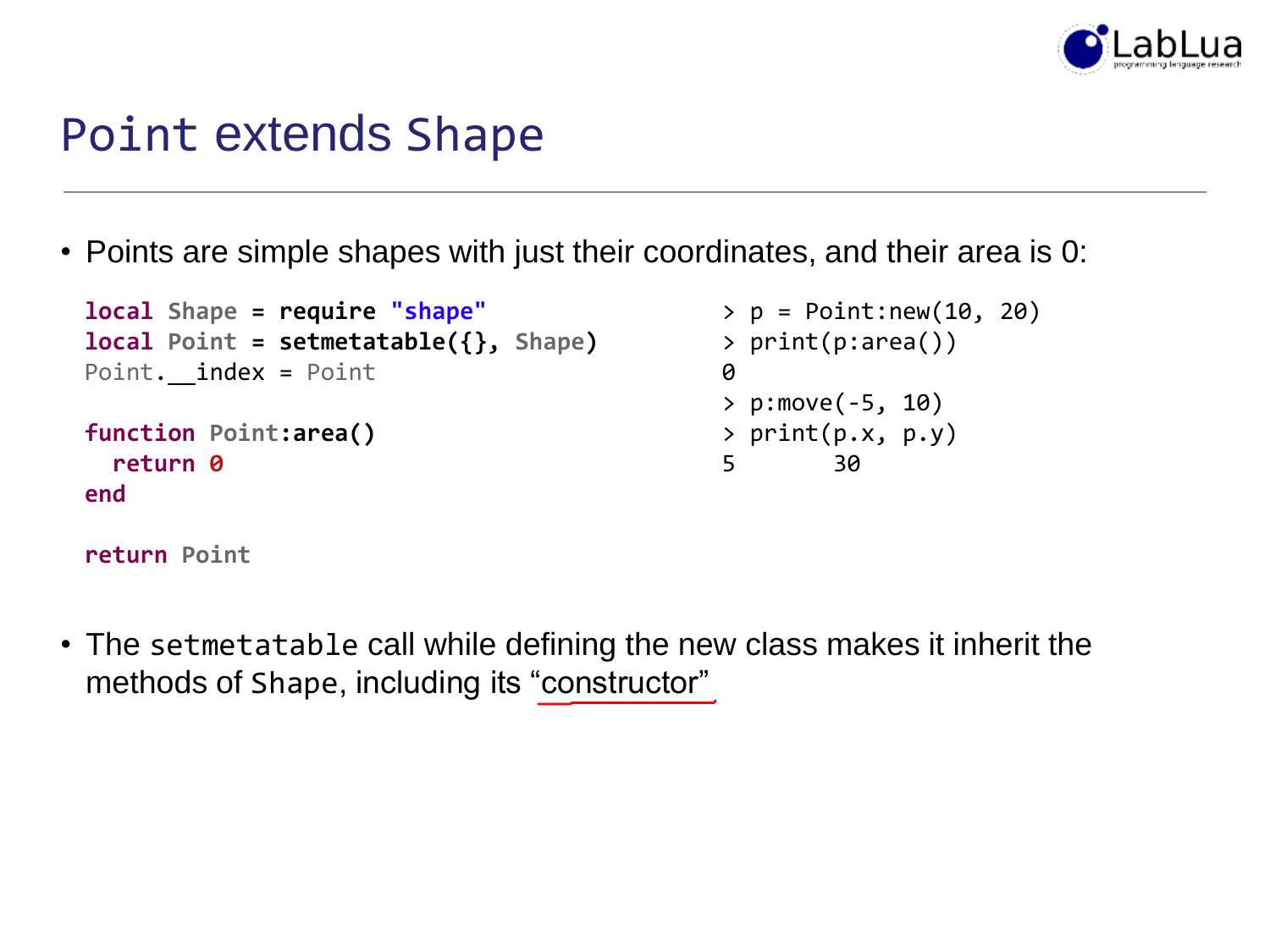

#### Point extends Shape

• Points are simple shapes with just their coordinates, and their area is 0:

```
local Shape = require "shape"
local Point = setmetatable({}, Shape)
Point. index = Point
function Point:area()
  return 0
end
                                                 > p = Point: new(10, 20)> print(p:area())
                                                 \boldsymbol{\theta}> p:move(-5, 10)
                                                 > print(p.x, p.y)
                                                 5 30
```

```
return Point
```
• The setmetatable call while defining the new class makes it inherit the methods of Shape, including its "constructor"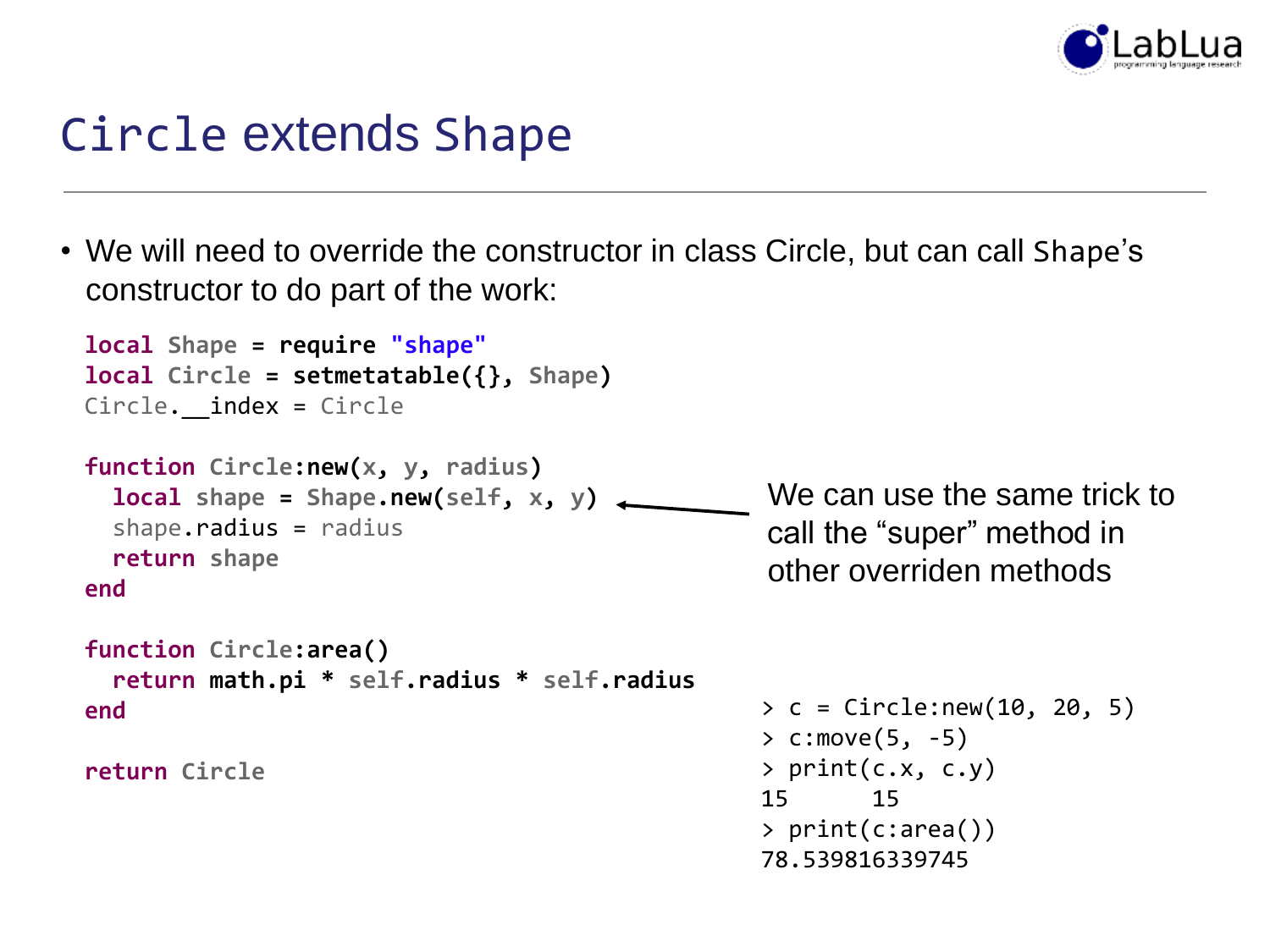

#### Circle extends Shape

• We will need to override the constructor in class Circle, but can call Shape's constructor to do part of the work:

```
local Shape = require "shape"
local Circle = setmetatable({}, Shape)
Circle. index = Circle
function Circle:new(x, y, radius)
 local shape = Shape.new(self, x, y)shape.radius = radius
 return shape
end
function Circle:area()
 return math.pi * self.radius * self.radius
end
return Circle
                                                > c = Circle: new(10, 20, 5)> c:move(5, -5)> print(c.x, c.y)
                                                15 15
                                                > print(c:area())
                                                78.539816339745
                                                We can use the same trick to
                                                call the "super" method in 
                                                other overriden methods
```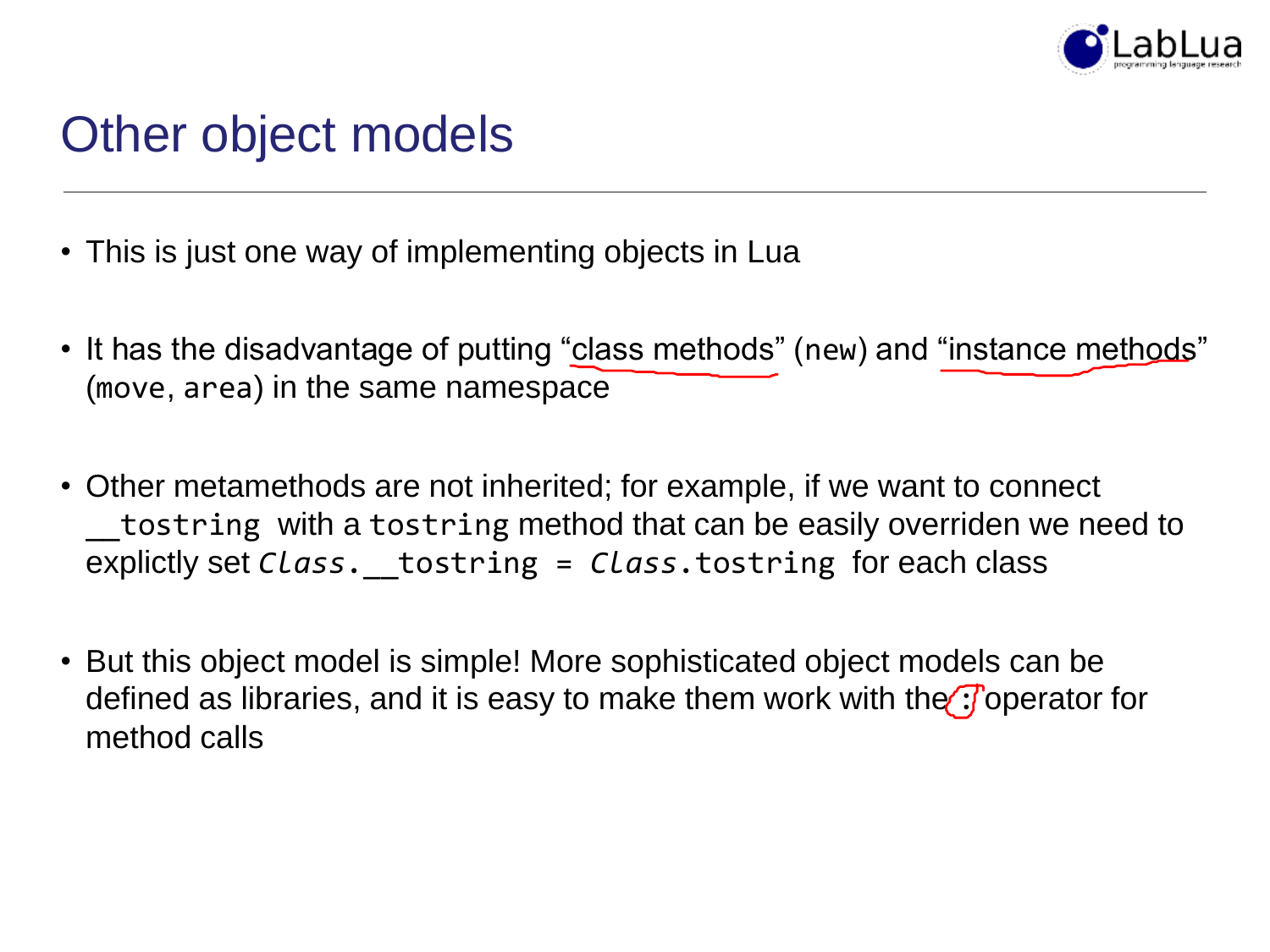

### Other object models

- This is just one way of implementing objects in Lua
- It has the disadvantage of putting "class methods" (new) and "instance methods" (move, area) in the same namespace
- Other metamethods are not inherited; for example, if we want to connect tostring with a tostring method that can be easily overriden we need to explictly set *Class*.\_\_tostring = *Class*.tostring for each class
- But this object model is simple! More sophisticated object models can be defined as libraries, and it is easy to make them work with the  $\cdot$  operator for method calls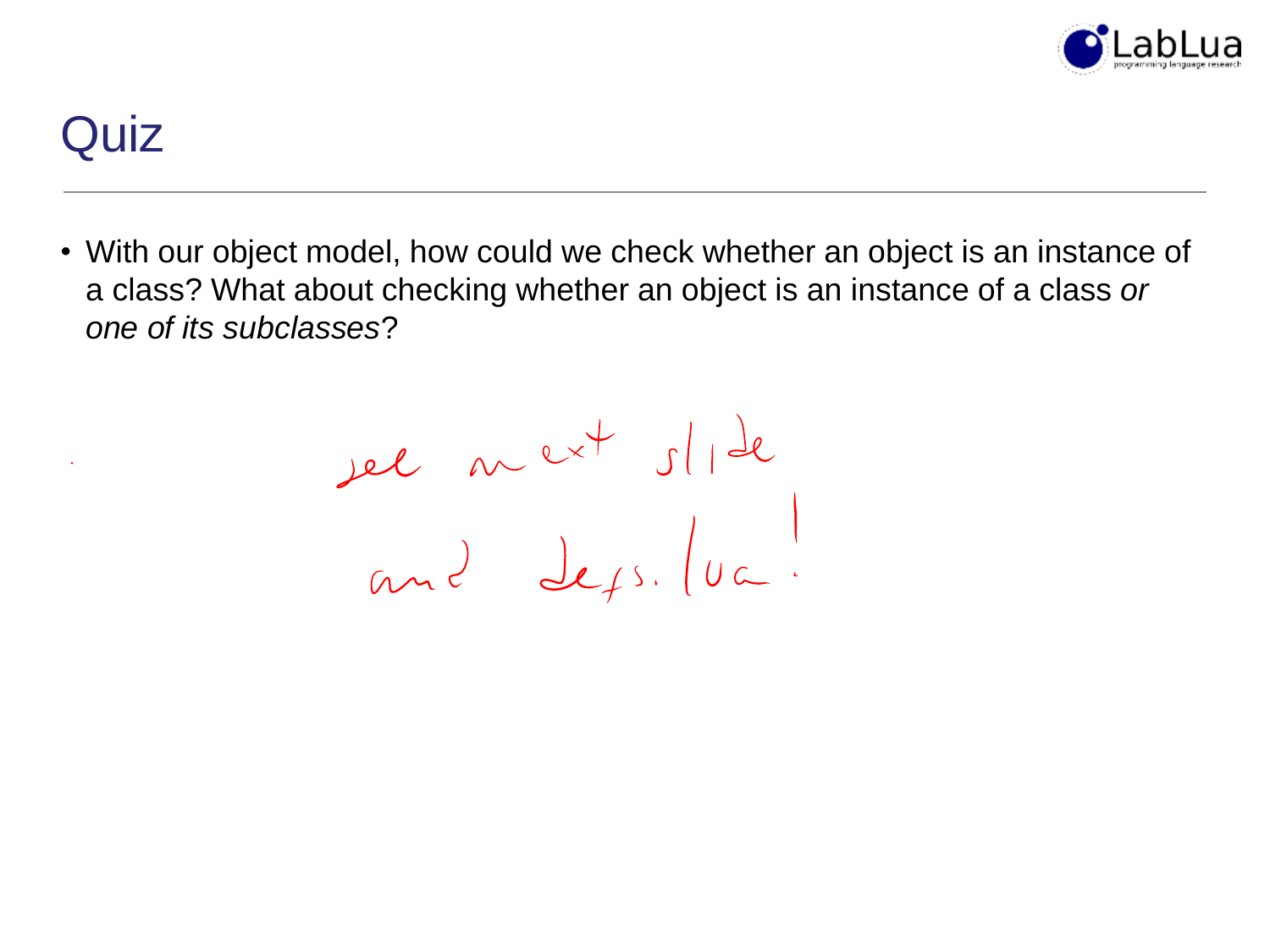

### **Quiz**

• With our object model, how could we check whether an object is an instance of a class? What about checking whether an object is an instance of a class *or one of its subclasses*?

sel mext slide<br>and deps. luc.